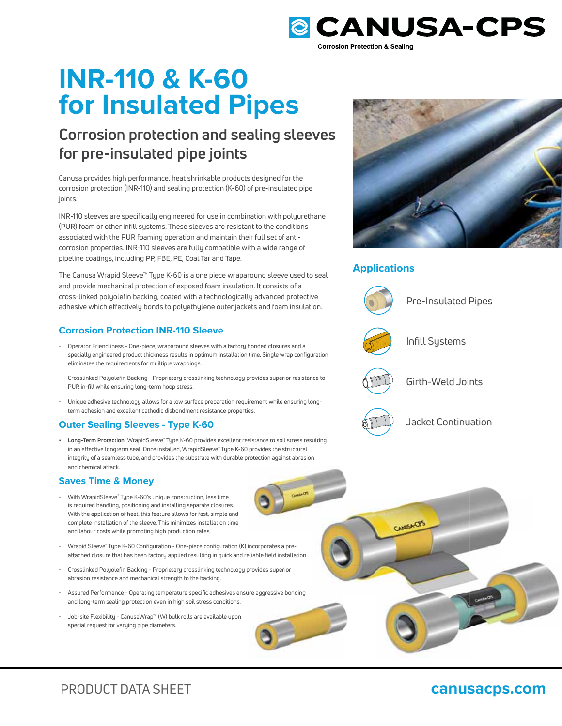

# **INR-110 & K-60 for Insulated Pipes**

### **Corrosion protection and sealing sleeves for pre-insulated pipe joints**

Canusa provides high performance, heat shrinkable products designed for the corrosion protection (INR-110) and sealing protection (K-60) of pre-insulated pipe joints.

INR-110 sleeves are specifically engineered for use in combination with polyurethane (PUR) foam or other infill systems. These sleeves are resistant to the conditions associated with the PUR foaming operation and maintain their full set of anticorrosion properties. INR-110 sleeves are fully compatible with a wide range of pipeline coatings, including PP, FBE, PE, Coal Tar and Tape.

The Canusa Wrapid Sleeve™ Type K-60 is a one piece wraparound sleeve used to seal and provide mechanical protection of exposed foam insulation. It consists of a cross-linked polyolefin backing, coated with a technologically advanced protective adhesive which effectively bonds to polyethylene outer jackets and foam insulation.

### **Corrosion Protection INR-110 Sleeve**

- Operator Friendliness One-piece, wraparound sleeves with a factory bonded closures and a specially engineered product thickness results in optimum installation time. Single wrap configuration eliminates the requirements for muiltiple wrappings.
- Crosslinked Polyolefin Backing Proprietary crosslinking technology provides superior resistance to PUR in-fill while ensuring long-term hoop stress.
- Unique adhesive technology allows for a low surface preparation requirement while ensuring longterm adhesion and excellent cathodic disbondment resistance properties.

### **Outer Sealing Sleeves - Type K-60**

**• Long-Term Protection**: WrapidSleeve**®** Type K-60 provides excellent resistance to soil stress resulting in an effective longterm seal. Once installed, WrapidSleeve**®** Type K-60 provides the structural integrity of a seamless tube, and provides the substrate with durable protection against abrasion and chemical attack.

### **Saves Time & Money**

- With WrapidSleeve**®** Type K-60's unique construction, less time is required handling, positioning and installing separate closures. With the application of heat, this feature allows for fast, simple and complete installation of the sleeve. This minimizes installation time and labour costs while promoting high production rates.
- Wrapid Sleeve**®** Type K-60 Configuration One-piece configuration (K) incorporates a preattached closure that has been factory applied resulting in quick and reliable field installation.
- Crosslinked Polyolefin Backing Proprietary crosslinking technology provides superior abrasion resistance and mechanical strength to the backing. • Atsured Closure that has been factory applied resulting in quick and reliable field installation.<br>• Crosslinked Polyolefin Backing - Proprietary crosslinking technology provides superior<br>• Assured Performance - Operating
- and long-term sealing protection even in high soil stress conditions.
- Job-site Flexibility CanusaWrap™ (W) bulk rolls are available upon special request for varying pipe diameters.



### **Applications**



CANNAMORS